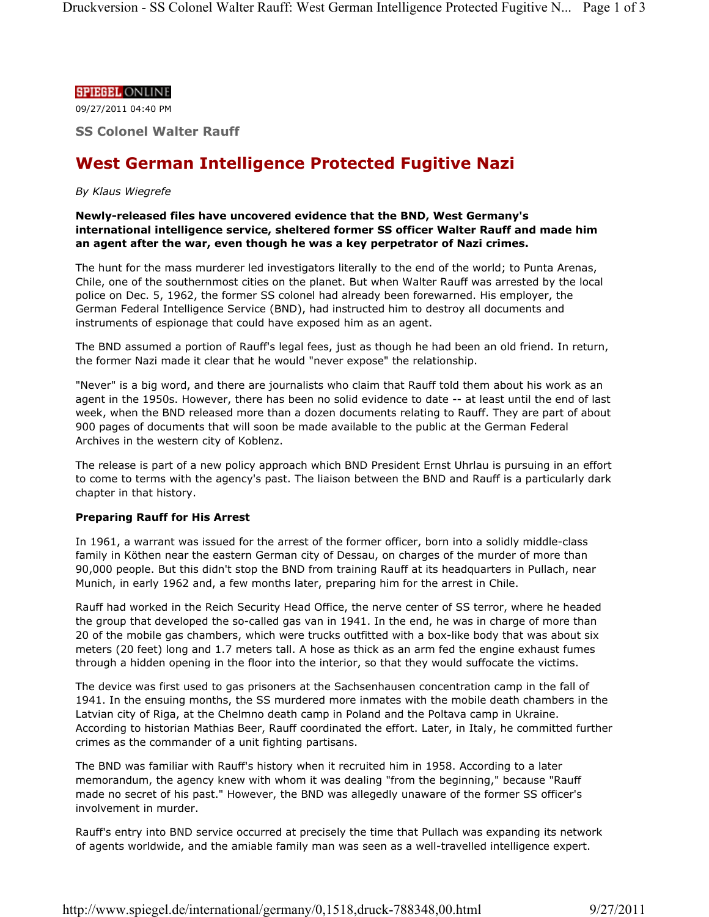### **SPIEGEL ONLINE**

09/27/2011 04:40 PM

**SS Colonel Walter Rauff**

# **West German Intelligence Protected Fugitive Nazi**

### *By Klaus Wiegrefe*

**Newly-released files have uncovered evidence that the BND, West Germany's international intelligence service, sheltered former SS officer Walter Rauff and made him an agent after the war, even though he was a key perpetrator of Nazi crimes.**

The hunt for the mass murderer led investigators literally to the end of the world; to Punta Arenas, Chile, one of the southernmost cities on the planet. But when Walter Rauff was arrested by the local police on Dec. 5, 1962, the former SS colonel had already been forewarned. His employer, the German Federal Intelligence Service (BND), had instructed him to destroy all documents and instruments of espionage that could have exposed him as an agent.

The BND assumed a portion of Rauff's legal fees, just as though he had been an old friend. In return, the former Nazi made it clear that he would "never expose" the relationship.

"Never" is a big word, and there are journalists who claim that Rauff told them about his work as an agent in the 1950s. However, there has been no solid evidence to date -- at least until the end of last week, when the BND released more than a dozen documents relating to Rauff. They are part of about 900 pages of documents that will soon be made available to the public at the German Federal Archives in the western city of Koblenz.

The release is part of a new policy approach which BND President Ernst Uhrlau is pursuing in an effort to come to terms with the agency's past. The liaison between the BND and Rauff is a particularly dark chapter in that history.

# **Preparing Rauff for His Arrest**

In 1961, a warrant was issued for the arrest of the former officer, born into a solidly middle-class family in Köthen near the eastern German city of Dessau, on charges of the murder of more than 90,000 people. But this didn't stop the BND from training Rauff at its headquarters in Pullach, near Munich, in early 1962 and, a few months later, preparing him for the arrest in Chile.

Rauff had worked in the Reich Security Head Office, the nerve center of SS terror, where he headed the group that developed the so-called gas van in 1941. In the end, he was in charge of more than 20 of the mobile gas chambers, which were trucks outfitted with a box-like body that was about six meters (20 feet) long and 1.7 meters tall. A hose as thick as an arm fed the engine exhaust fumes through a hidden opening in the floor into the interior, so that they would suffocate the victims.

The device was first used to gas prisoners at the Sachsenhausen concentration camp in the fall of 1941. In the ensuing months, the SS murdered more inmates with the mobile death chambers in the Latvian city of Riga, at the Chelmno death camp in Poland and the Poltava camp in Ukraine. According to historian Mathias Beer, Rauff coordinated the effort. Later, in Italy, he committed further crimes as the commander of a unit fighting partisans.

The BND was familiar with Rauff's history when it recruited him in 1958. According to a later memorandum, the agency knew with whom it was dealing "from the beginning," because "Rauff made no secret of his past." However, the BND was allegedly unaware of the former SS officer's involvement in murder.

Rauff's entry into BND service occurred at precisely the time that Pullach was expanding its network of agents worldwide, and the amiable family man was seen as a well-travelled intelligence expert.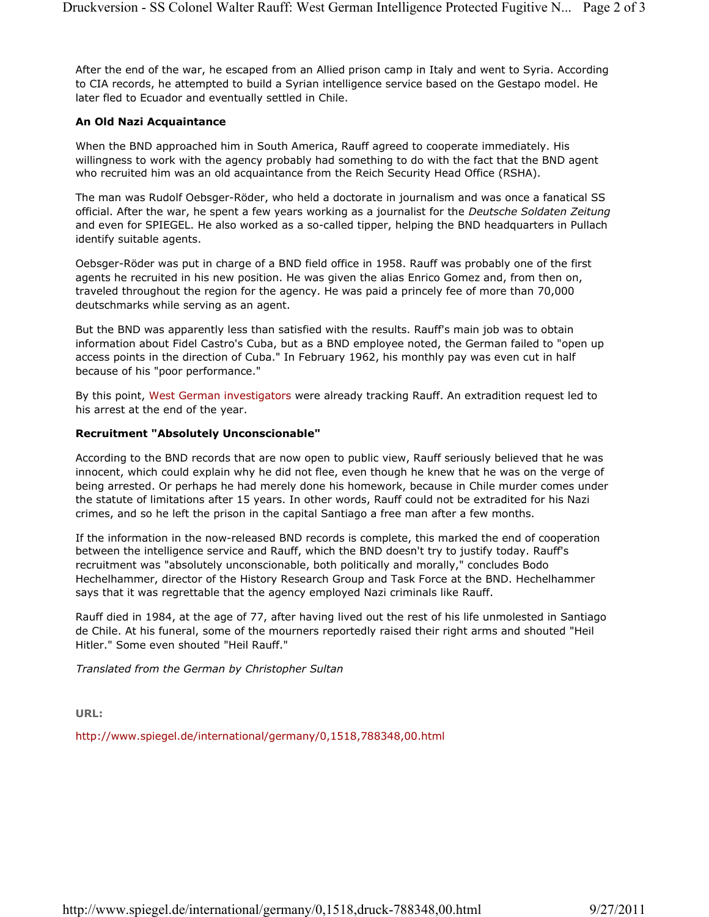After the end of the war, he escaped from an Allied prison camp in Italy and went to Syria. According to CIA records, he attempted to build a Syrian intelligence service based on the Gestapo model. He later fled to Ecuador and eventually settled in Chile.

# **An Old Nazi Acquaintance**

When the BND approached him in South America, Rauff agreed to cooperate immediately. His willingness to work with the agency probably had something to do with the fact that the BND agent who recruited him was an old acquaintance from the Reich Security Head Office (RSHA).

The man was Rudolf Oebsger-Röder, who held a doctorate in journalism and was once a fanatical SS official. After the war, he spent a few years working as a journalist for the *Deutsche Soldaten Zeitung* and even for SPIEGEL. He also worked as a so-called tipper, helping the BND headquarters in Pullach identify suitable agents.

Oebsger-Röder was put in charge of a BND field office in 1958. Rauff was probably one of the first agents he recruited in his new position. He was given the alias Enrico Gomez and, from then on, traveled throughout the region for the agency. He was paid a princely fee of more than 70,000 deutschmarks while serving as an agent.

But the BND was apparently less than satisfied with the results. Rauff's main job was to obtain information about Fidel Castro's Cuba, but as a BND employee noted, the German failed to "open up access points in the direction of Cuba." In February 1962, his monthly pay was even cut in half because of his "poor performance."

By this point, West German investigators were already tracking Rauff. An extradition request led to his arrest at the end of the year.

#### **Recruitment "Absolutely Unconscionable"**

According to the BND records that are now open to public view, Rauff seriously believed that he was innocent, which could explain why he did not flee, even though he knew that he was on the verge of being arrested. Or perhaps he had merely done his homework, because in Chile murder comes under the statute of limitations after 15 years. In other words, Rauff could not be extradited for his Nazi crimes, and so he left the prison in the capital Santiago a free man after a few months.

If the information in the now-released BND records is complete, this marked the end of cooperation between the intelligence service and Rauff, which the BND doesn't try to justify today. Rauff's recruitment was "absolutely unconscionable, both politically and morally," concludes Bodo Hechelhammer, director of the History Research Group and Task Force at the BND. Hechelhammer says that it was regrettable that the agency employed Nazi criminals like Rauff.

Rauff died in 1984, at the age of 77, after having lived out the rest of his life unmolested in Santiago de Chile. At his funeral, some of the mourners reportedly raised their right arms and shouted "Heil Hitler." Some even shouted "Heil Rauff."

*Translated from the German by Christopher Sultan*

**URL:**

http://www.spiegel.de/international/germany/0,1518,788348,00.html